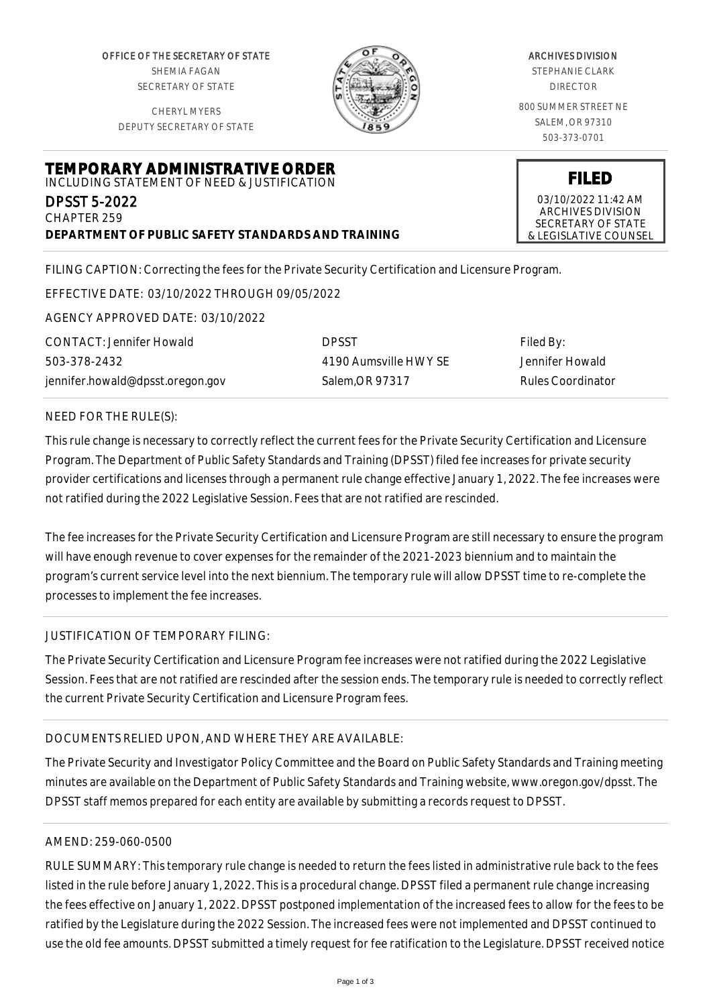OFFICE OF THE SECRETARY OF STATE SHEMIA FAGAN SECRETARY OF STATE

CHERYL MYERS DEPUTY SECRETARY OF STATE



# ARCHIVES DIVISION

STEPHANIE CLARK DIRECTOR

800 SUMMER STREET NE SALEM, OR 97310 503-373-0701

**FILED** 03/10/2022 11:42 AM ARCHIVES DIVISION SECRETARY OF STATE & LEGISLATIVE COUNSEL

**TEMPORARY ADMINISTRATIVE ORDER** INCLUDING STATEMENT OF NEED & JUSTIFICATION

DPSST 5-2022 CHAPTER 259 **DEPARTMENT OF PUBLIC SAFETY STANDARDS AND TRAINING**

FILING CAPTION: Correcting the fees for the Private Security Certification and Licensure Program.

EFFECTIVE DATE: 03/10/2022 THROUGH 09/05/2022

AGENCY APPROVED DATE: 03/10/2022

CONTACT: Jennifer Howald 503-378-2432 jennifer.howald@dpsst.oregon.gov DPSST 4190 Aumsville HWY SE Salem,OR 97317

Filed By: Jennifer Howald Rules Coordinator

### NEED FOR THE RULE(S):

This rule change is necessary to correctly reflect the current fees for the Private Security Certification and Licensure Program. The Department of Public Safety Standards and Training (DPSST) filed fee increases for private security provider certifications and licenses through a permanent rule change effective January 1, 2022. The fee increases were not ratified during the 2022 Legislative Session. Fees that are not ratified are rescinded.

The fee increases for the Private Security Certification and Licensure Program are still necessary to ensure the program will have enough revenue to cover expenses for the remainder of the 2021-2023 biennium and to maintain the program's current service level into the next biennium. The temporary rule will allow DPSST time to re-complete the processes to implement the fee increases.

### JUSTIFICATION OF TEMPORARY FILING:

The Private Security Certification and Licensure Program fee increases were not ratified during the 2022 Legislative Session. Fees that are not ratified are rescinded after the session ends. The temporary rule is needed to correctly reflect the current Private Security Certification and Licensure Program fees.

### DOCUMENTS RELIED UPON, AND WHERE THEY ARE AVAILABLE:

The Private Security and Investigator Policy Committee and the Board on Public Safety Standards and Training meeting minutes are available on the Department of Public Safety Standards and Training website, www.oregon.gov/dpsst. The DPSST staff memos prepared for each entity are available by submitting a records request to DPSST.

# AMEND: 259-060-0500

RULE SUMMARY: This temporary rule change is needed to return the fees listed in administrative rule back to the fees listed in the rule before January 1, 2022. This is a procedural change. DPSST filed a permanent rule change increasing the fees effective on January 1, 2022. DPSST postponed implementation of the increased fees to allow for the fees to be ratified by the Legislature during the 2022 Session. The increased fees were not implemented and DPSST continued to use the old fee amounts. DPSST submitted a timely request for fee ratification to the Legislature. DPSST received notice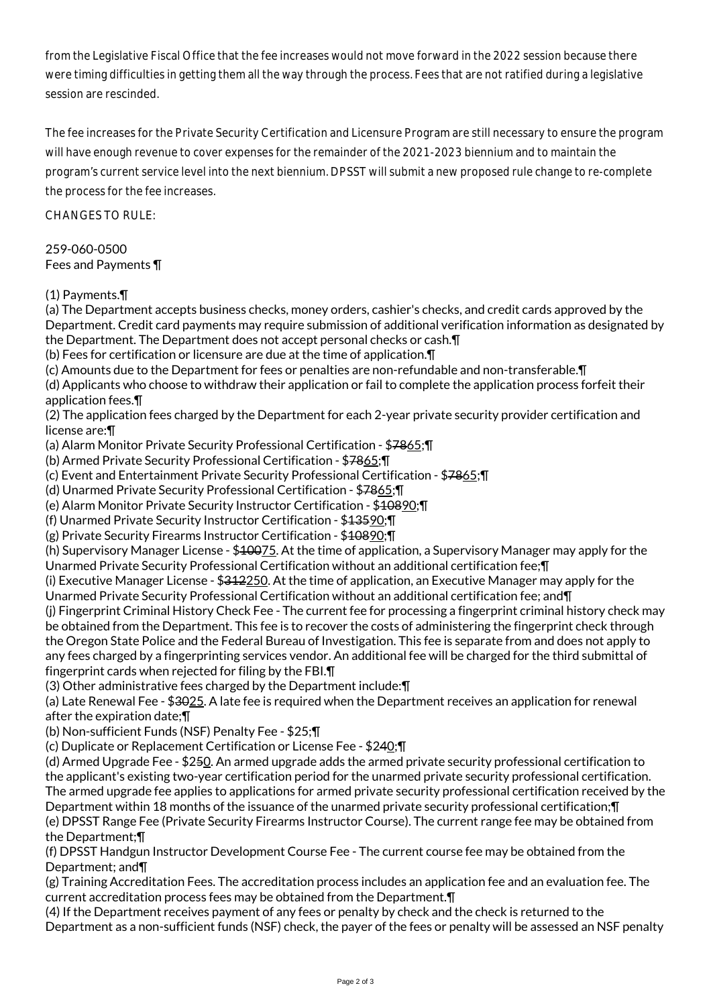from the Legislative Fiscal Office that the fee increases would not move forward in the 2022 session because there were timing difficulties in getting them all the way through the process. Fees that are not ratified during a legislative session are rescinded.

The fee increases for the Private Security Certification and Licensure Program are still necessary to ensure the program will have enough revenue to cover expenses for the remainder of the 2021-2023 biennium and to maintain the program's current service level into the next biennium. DPSST will submit a new proposed rule change to re-complete the process for the fee increases.

CHANGES TO RULE:

259-060-0500 Fees and Payments ¶

(1) Payments.¶

(a) The Department accepts business checks, money orders, cashier's checks, and credit cards approved by the Department. Credit card payments may require submission of additional verification information as designated by the Department. The Department does not accept personal checks or cash.¶

(b) Fees for certification or licensure are due at the time of application.¶

(c) Amounts due to the Department for fees or penalties are non-refundable and non-transferable.¶

(d) Applicants who choose to withdraw their application or fail to complete the application process forfeit their application fees.¶

(2) The application fees charged by the Department for each 2-year private security provider certification and license are:¶

(a) Alarm Monitor Private Security Professional Certification - \$7865;¶

(b) Armed Private Security Professional Certification - \$7865;¶

(c) Event and Entertainment Private Security Professional Certification - \$7865;¶

(d) Unarmed Private Security Professional Certification - \$7865;¶

(e) Alarm Monitor Private Security Instructor Certification - \$10890;¶

(f) Unarmed Private Security Instructor Certification - \$13590;¶

(g) Private Security Firearms Instructor Certification - \$10890;¶

(h) Supervisory Manager License - \$10075. At the time of application, a Supervisory Manager may apply for the Unarmed Private Security Professional Certification without an additional certification fee;¶

(i) Executive Manager License - \$312250. At the time of application, an Executive Manager may apply for the Unarmed Private Security Professional Certification without an additional certification fee; and¶

(j) Fingerprint Criminal History Check Fee - The current fee for processing a fingerprint criminal history check may be obtained from the Department. This fee is to recover the costs of administering the fingerprint check through the Oregon State Police and the Federal Bureau of Investigation. This fee is separate from and does not apply to any fees charged by a fingerprinting services vendor. An additional fee will be charged for the third submittal of fingerprint cards when rejected for filing by the FBI.¶

(3) Other administrative fees charged by the Department include:¶

(a) Late Renewal Fee - \$3025. A late fee is required when the Department receives an application for renewal after the expiration date;¶

(b) Non-sufficient Funds (NSF) Penalty Fee - \$25;¶

(c) Duplicate or Replacement Certification or License Fee - \$240;¶

(d) Armed Upgrade Fee - \$250. An armed upgrade adds the armed private security professional certification to the applicant's existing two-year certification period for the unarmed private security professional certification. The armed upgrade fee applies to applications for armed private security professional certification received by the Department within 18 months of the issuance of the unarmed private security professional certification;¶ (e) DPSST Range Fee (Private Security Firearms Instructor Course). The current range fee may be obtained from the Department;¶

(f) DPSST Handgun Instructor Development Course Fee - The current course fee may be obtained from the Department; and¶

(g) Training Accreditation Fees. The accreditation process includes an application fee and an evaluation fee. The current accreditation process fees may be obtained from the Department.¶

(4) If the Department receives payment of any fees or penalty by check and the check is returned to the Department as a non-sufficient funds (NSF) check, the payer of the fees or penalty will be assessed an NSF penalty